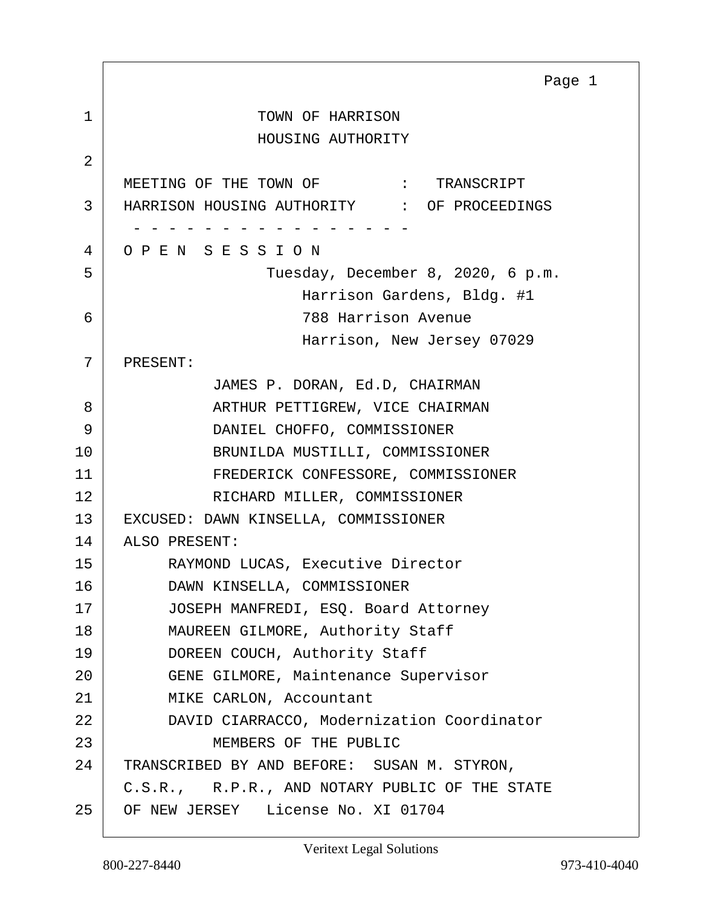<span id="page-0-0"></span>1 TOWN OF HARRISON HOUSING AUTHORITY 2 MEETING OF THE TOWN OF  $\qquad$  : TRANSCRIPT 3 HARRISON HOUSING AUTHORITY : OF PROCEEDINGS - - - - - - - - - - - - - - - - 4 O P E N S E S S I O N 5 Tuesday, December 8, 2020, 6 p.m. Harrison Gardens, Bldg. #1 6 788 Harrison Avenue Harrison, New Jersey 07029 7 PRESENT: JAMES P. DORAN, Ed.D, CHAIRMAN 8 ARTHUR PETTIGREW, VICE CHAIRMAN 9 DANIEL CHOFFO, COMMISSIONER 10 BRUNILDA MUSTILLI, COMMISSIONER 11 FREDERICK CONFESSORE, COMMISSIONER 12 RICHARD MILLER, COMMISSIONER 13 EXCUSED: DAWN KINSELLA, COMMISSIONER 14 ALSO PRESENT: 15 RAYMOND LUCAS, Executive Director 16 DAWN KINSELLA, COMMISSIONER 17 JOSEPH MANFREDI, ESQ. Board Attorney 18 MAUREEN GILMORE, Authority Staff 19 DOREEN COUCH, Authority Staff 20 GENE GILMORE, Maintenance Supervisor 21 | MIKE CARLON, Accountant 22 DAVID CIARRACCO, Modernization Coordinator 23 MEMBERS OF THE PUBLIC 24 TRANSCRIBED BY AND BEFORE: SUSAN M. STYRON, C.S.R., R.P.R., AND NOTARY PUBLIC OF THE STATE 25 OF NEW JERSEY License No. XI 01704 Page 1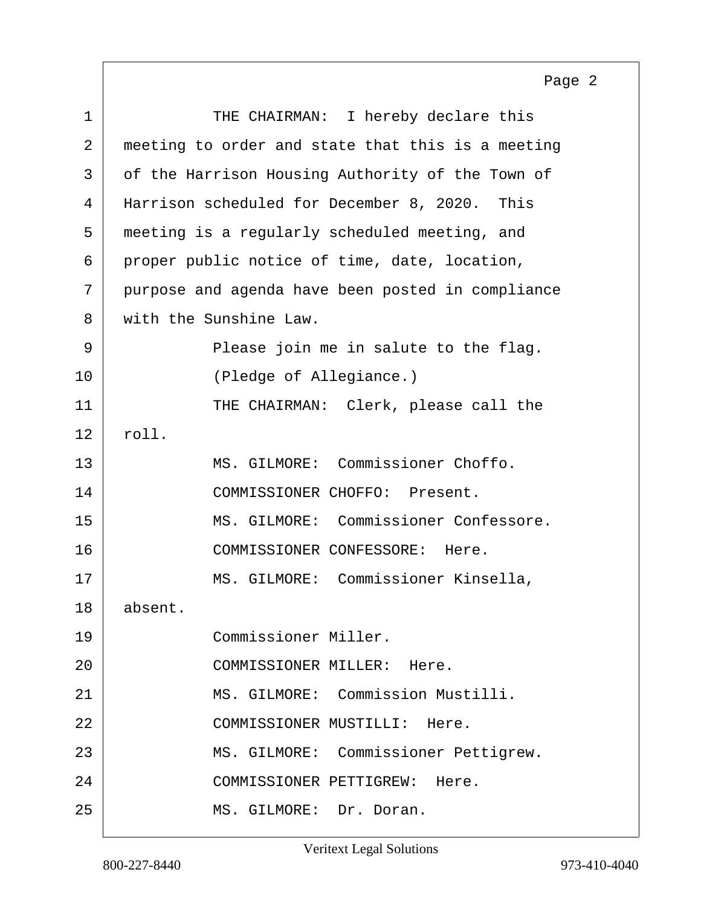<span id="page-1-0"></span>

|    | Page 2                                            |
|----|---------------------------------------------------|
| 1  | THE CHAIRMAN: I hereby declare this               |
| 2  | meeting to order and state that this is a meeting |
| 3  | of the Harrison Housing Authority of the Town of  |
| 4  | Harrison scheduled for December 8, 2020. This     |
| 5  | meeting is a regularly scheduled meeting, and     |
| 6  | proper public notice of time, date, location,     |
| 7  | purpose and agenda have been posted in compliance |
| 8  | with the Sunshine Law.                            |
| 9  | Please join me in salute to the flag.             |
| 10 | (Pledge of Allegiance.)                           |
| 11 | THE CHAIRMAN: Clerk, please call the              |
| 12 | roll.                                             |
| 13 | MS. GILMORE: Commissioner Choffo.                 |
| 14 | COMMISSIONER CHOFFO: Present.                     |
| 15 | MS. GILMORE: Commissioner Confessore.             |
| 16 | COMMISSIONER CONFESSORE: Here.                    |
| 17 | MS. GILMORE: Commissioner Kinsella,               |
| 18 | absent.                                           |
| 19 | Commissioner Miller.                              |
| 20 | COMMISSIONER MILLER: Here.                        |
| 21 | MS. GILMORE: Commission Mustilli.                 |
| 22 | COMMISSIONER MUSTILLI: Here.                      |
| 23 | MS. GILMORE: Commissioner Pettigrew.              |
| 24 | COMMISSIONER PETTIGREW:<br>Here.                  |
| 25 | MS. GILMORE: Dr. Doran.                           |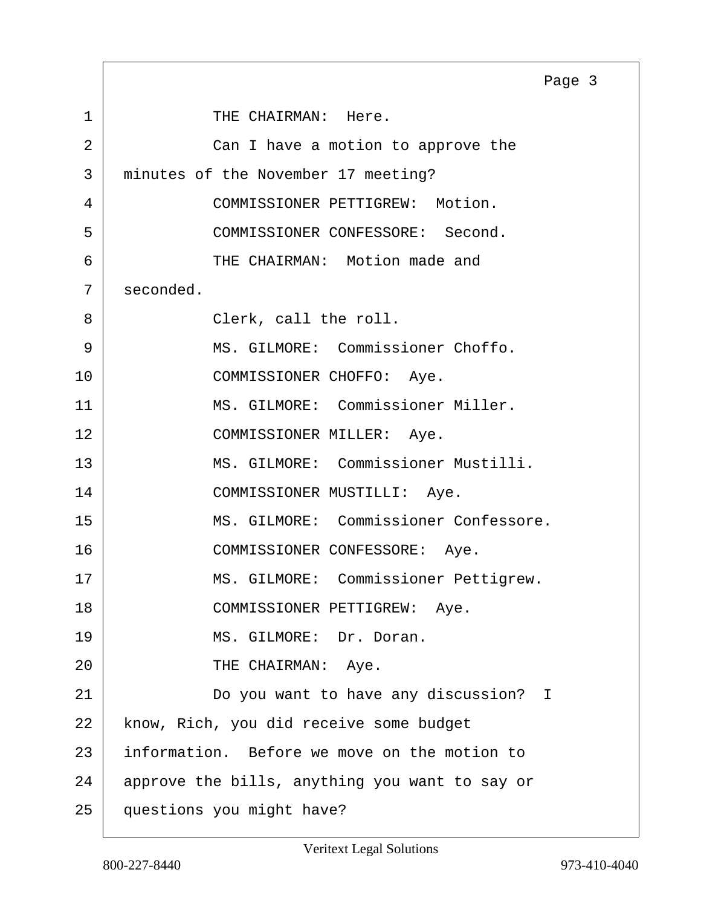<span id="page-2-0"></span>1 THE CHAIRMAN: Here. 2 Can I have a motion to approve the 3 minutes of the November 17 meeting? 4 COMMISSIONER PETTIGREW: Motion. 5 COMMISSIONER CONFESSORE: Second. 6 THE CHAIRMAN: Motion made and  $7 \mid$  seconded. 8 Clerk, call the roll. 9 MS. GILMORE: Commissioner Choffo. 10 COMMISSIONER CHOFFO: Aye. 11 MS. GILMORE: Commissioner Miller. 12 COMMISSIONER MILLER: Aye. 13 MS. GILMORE: Commissioner Mustilli. 14 COMMISSIONER MUSTILLI: Aye. 15 MS. GILMORE: Commissioner Confessore. 16 COMMISSIONER CONFESSORE: Aye. 17 | MS. GILMORE: Commissioner Pettigrew. 18 COMMISSIONER PETTIGREW: Aye. 19 MS. GILMORE: Dr. Doran. 20 THE CHAIRMAN: Aye. 21 Do you want to have any discussion? I 22 | know, Rich, you did receive some budget 23 information. Before we move on the motion to 24 approve the bills, anything you want to say or 25 questions you might have? Page 3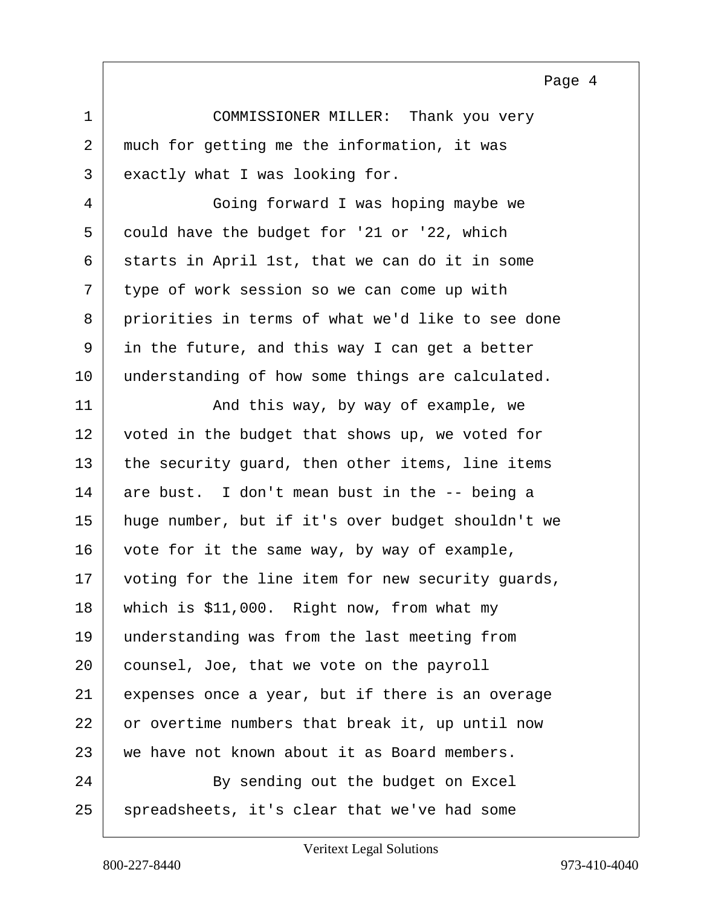Page 4

<span id="page-3-0"></span>1 COMMISSIONER MILLER: Thank you very 2 much for getting me the information, it was 3 exactly what I was looking for.

4 Going forward I was hoping maybe we 5 could have the budget for '21 or '22, which 6 starts in April 1st, that we can do it in some  $7$  type of work session so we can come up with 8 priorities in terms of what we'd like to see done 9 in the future, and this way I can get a better 10 understanding of how some things are calculated.

11 And this way, by way of example, we 12 voted in the budget that shows up, we voted for  $13$  the security guard, then other items, line items 14 are bust. I don't mean bust in the -- being a 15 huge number, but if it's over budget shouldn't we 16 vote for it the same way, by way of example, 17 voting for the line item for new security guards, 18 which is \$11,000. Right now, from what my 19 understanding was from the last meeting from 20 counsel, Joe, that we vote on the payroll 21 expenses once a year, but if there is an overage 22 or overtime numbers that break it, up until now 23 we have not known about it as Board members. 24 By sending out the budget on Excel 25 spreadsheets, it's clear that we've had some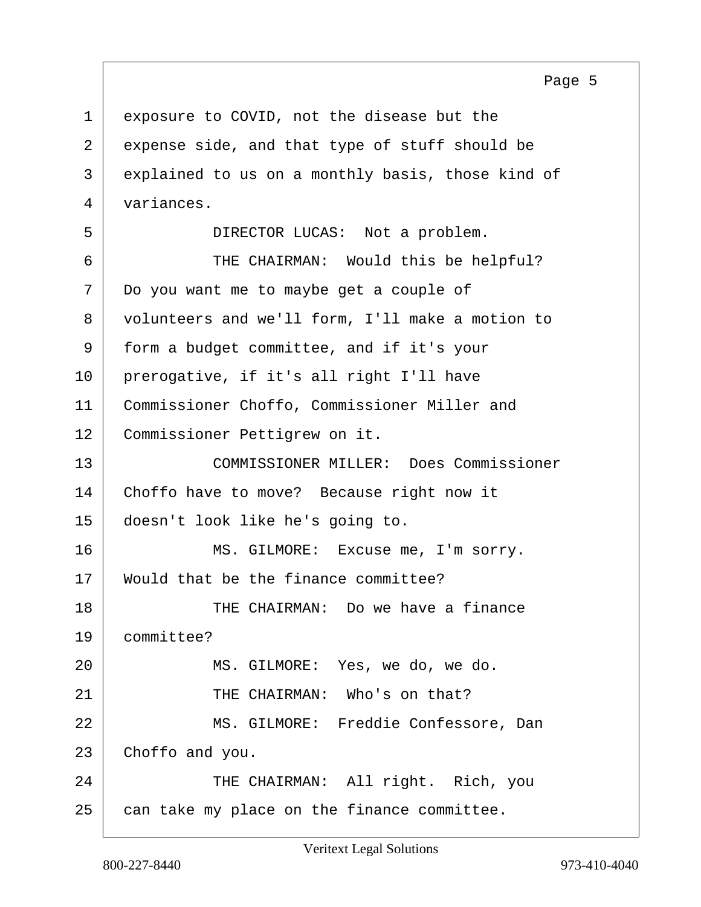Page 5

<span id="page-4-0"></span>1 exposure to COVID, not the disease but the 2 expense side, and that type of stuff should be 3 explained to us on a monthly basis, those kind of 4 variances. 5 DIRECTOR LUCAS: Not a problem. 6 THE CHAIRMAN: Would this be helpful? 7 Do you want me to maybe get a couple of 8 volunteers and we'll form, I'll make a motion to 9 form a budget committee, and if it's your 10 prerogative, if it's all right I'll have 11 Commissioner Choffo, Commissioner Miller and 12 Commissioner Pettigrew on it. 13 COMMISSIONER MILLER: Does Commissioner 14 Choffo have to move? Because right now it 15 doesn't look like he's going to. 16 MS. GILMORE: Excuse me, I'm sorry. 17 Would that be the finance committee? 18 THE CHAIRMAN: Do we have a finance 19 committee? 20 MS. GILMORE: Yes, we do, we do. 21 THE CHAIRMAN: Who's on that? 22 MS. GILMORE: Freddie Confessore, Dan 23 Choffo and you. 24 THE CHAIRMAN: All right. Rich, you  $25$  can take my place on the finance committee.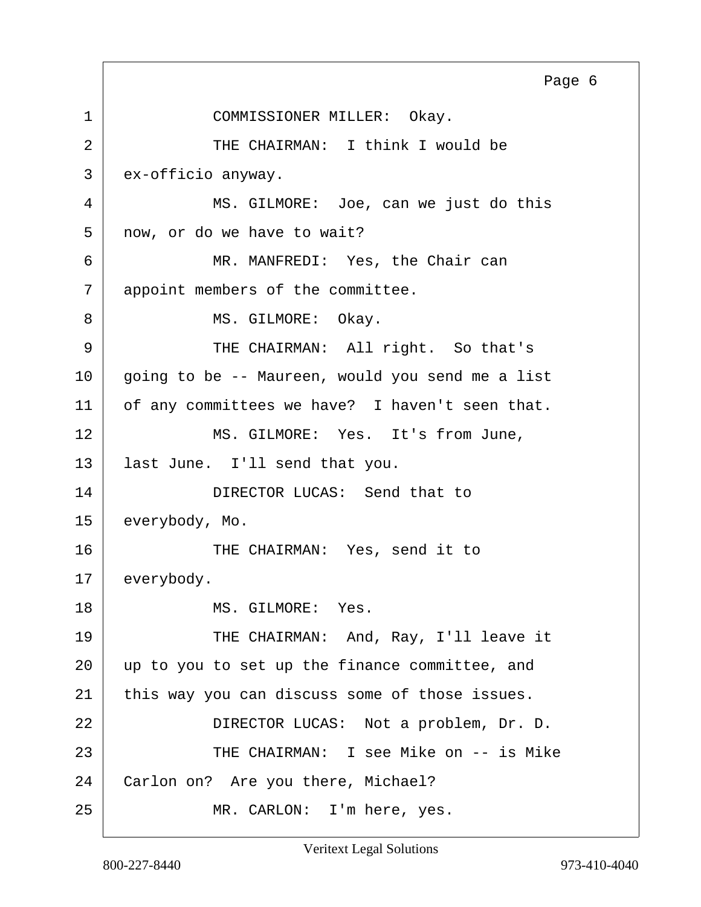<span id="page-5-0"></span>1 COMMISSIONER MILLER: Okay. 2 THE CHAIRMAN: I think I would be 3 ex-officio anyway. 4 MS. GILMORE: Joe, can we just do this 5 now, or do we have to wait? 6 MR. MANFREDI: Yes, the Chair can 7 appoint members of the committee. 8 MS. GILMORE: Okay. 9 | THE CHAIRMAN: All right. So that's 10 going to be -- Maureen, would you send me a list 11 of any committees we have? I haven't seen that. 12 MS. GILMORE: Yes. It's from June, 13 | last June. I'll send that you. 14 DIRECTOR LUCAS: Send that to 15 everybody, Mo. 16 THE CHAIRMAN: Yes, send it to 17 everybody. 18 MS. GILMORE: Yes. 19 THE CHAIRMAN: And, Ray, I'll leave it 20 | up to you to set up the finance committee, and 21 this way you can discuss some of those issues. 22 | DIRECTOR LUCAS: Not a problem, Dr. D. 23 THE CHAIRMAN: I see Mike on -- is Mike 24 Carlon on? Are you there, Michael? 25 MR. CARLON: I'm here, yes. Page 6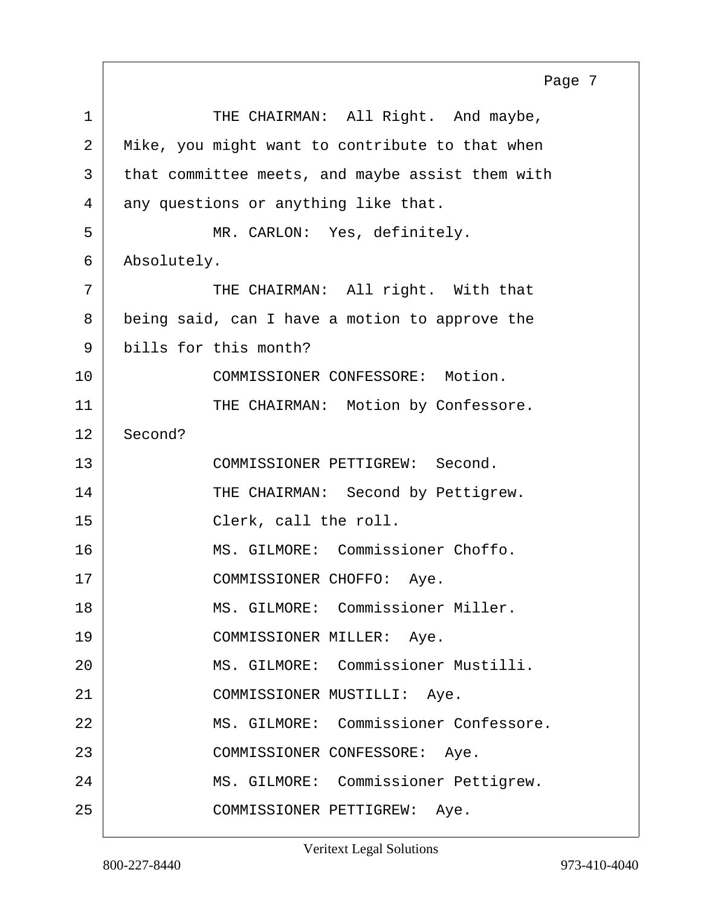<span id="page-6-0"></span>1 THE CHAIRMAN: All Right. And maybe, 2 | Mike, you might want to contribute to that when 3 that committee meets, and maybe assist them with  $4$  any questions or anything like that. 5 MR. CARLON: Yes, definitely. 6 Absolutely. 7 THE CHAIRMAN: All right. With that 8 being said, can I have a motion to approve the 9 bills for this month? 10 COMMISSIONER CONFESSORE: Motion. 11 THE CHAIRMAN: Motion by Confessore. 12 Second? 13 COMMISSIONER PETTIGREW: Second. 14 THE CHAIRMAN: Second by Pettigrew. 15 Clerk, call the roll. 16 | MS. GILMORE: Commissioner Choffo. 17 | COMMISSIONER CHOFFO: Aye. 18 | MS. GILMORE: Commissioner Miller. 19 COMMISSIONER MILLER: Aye. 20 MS. GILMORE: Commissioner Mustilli. 21 COMMISSIONER MUSTILLI: Aye. 22 MS. GILMORE: Commissioner Confessore. 23 | COMMISSIONER CONFESSORE: Aye. 24 | MS. GILMORE: Commissioner Pettigrew. 25 COMMISSIONER PETTIGREW: Aye. Page 7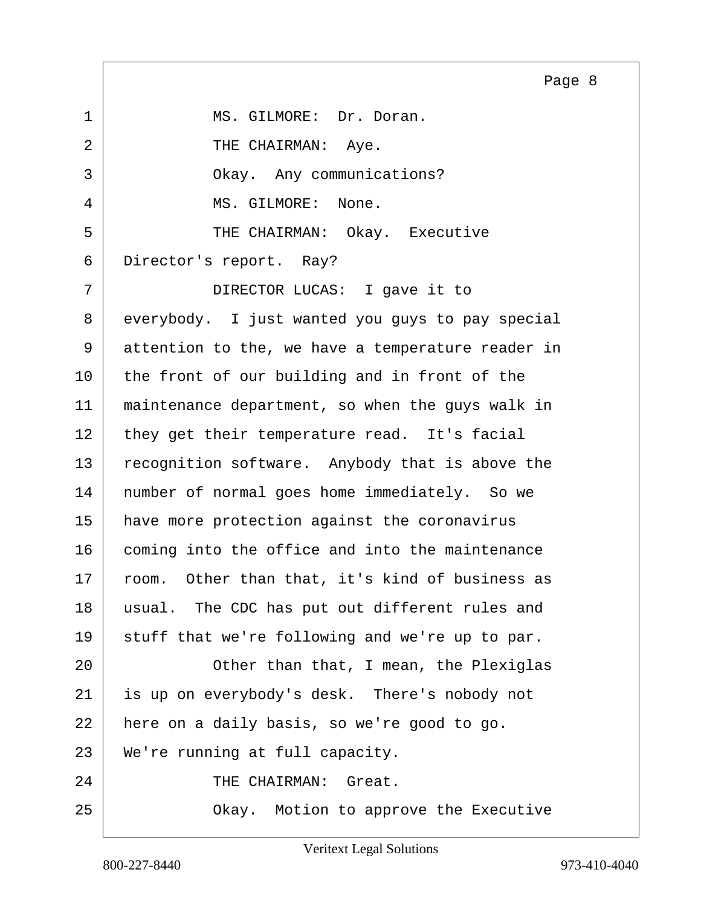<span id="page-7-0"></span>1 MS. GILMORE: Dr. Doran. 2 THE CHAIRMAN: Aye. 3 Okay. Any communications? 4 MS. GILMORE: None. 5 THE CHAIRMAN: Okay. Executive 6 Director's report. Ray? 7 DIRECTOR LUCAS: I gave it to 8 everybody. I just wanted you guys to pay special 9 attention to the, we have a temperature reader in 10 the front of our building and in front of the 11 maintenance department, so when the guys walk in 12 they get their temperature read. It's facial 13 recognition software. Anybody that is above the 14 | number of normal goes home immediately. So we 15 have more protection against the coronavirus 16 coming into the office and into the maintenance 17 room. Other than that, it's kind of business as 18 usual. The CDC has put out different rules and 19 stuff that we're following and we're up to par. 20 | Cher than that, I mean, the Plexiglas 21 is up on everybody's desk. There's nobody not 22 here on a daily basis, so we're good to go. 23 We're running at full capacity. 24 THE CHAIRMAN: Great. 25 | Chay. Motion to approve the Executive Page 8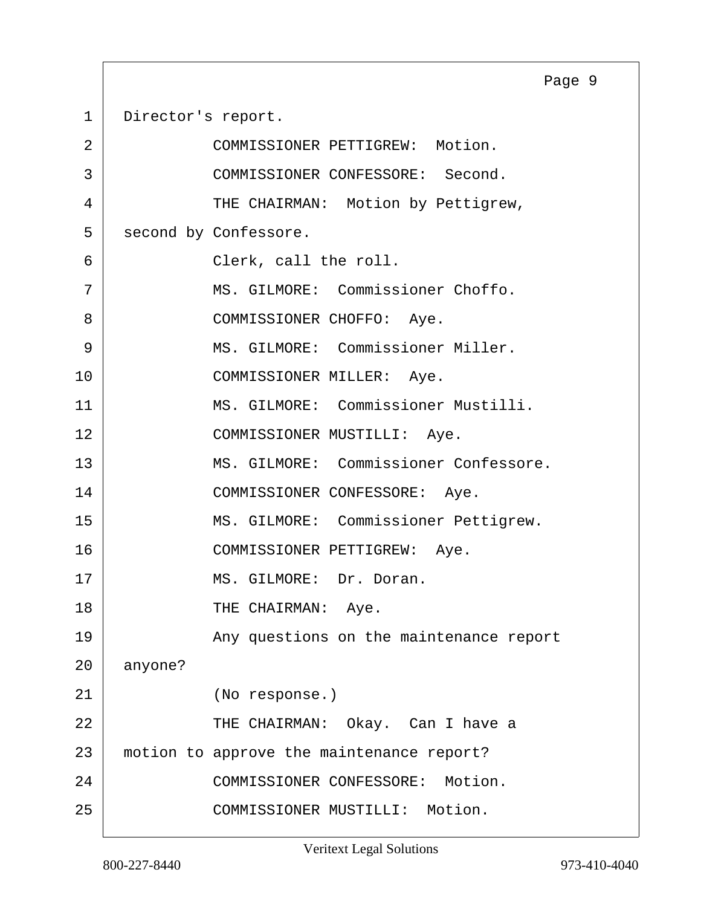<span id="page-8-0"></span>1 Director's report.

| 2  |         | COMMISSIONER PETTIGREW: Motion.           |  |  |
|----|---------|-------------------------------------------|--|--|
| 3  |         | COMMISSIONER CONFESSORE: Second.          |  |  |
| 4  |         | THE CHAIRMAN: Motion by Pettigrew,        |  |  |
| 5  |         | second by Confessore.                     |  |  |
| 6  |         | Clerk, call the roll.                     |  |  |
| 7  |         | MS. GILMORE: Commissioner Choffo.         |  |  |
| 8  |         | COMMISSIONER CHOFFO: Aye.                 |  |  |
| 9  |         | MS. GILMORE: Commissioner Miller.         |  |  |
| 10 |         | COMMISSIONER MILLER: Aye.                 |  |  |
| 11 |         | MS. GILMORE: Commissioner Mustilli.       |  |  |
| 12 |         | COMMISSIONER MUSTILLI: Aye.               |  |  |
| 13 |         | MS. GILMORE: Commissioner Confessore.     |  |  |
| 14 |         | COMMISSIONER CONFESSORE: Aye.             |  |  |
| 15 |         | MS. GILMORE: Commissioner Pettigrew.      |  |  |
| 16 |         | COMMISSIONER PETTIGREW: Aye.              |  |  |
| 17 |         | MS. GILMORE: Dr. Doran.                   |  |  |
| 18 |         | THE CHAIRMAN: Aye.                        |  |  |
| 19 |         | Any questions on the maintenance report   |  |  |
| 20 | anyone? |                                           |  |  |
| 21 |         | (No response.)                            |  |  |
| 22 |         | THE CHAIRMAN: Okay. Can I have a          |  |  |
| 23 |         | motion to approve the maintenance report? |  |  |
| 24 |         | COMMISSIONER CONFESSORE: Motion.          |  |  |
| 25 |         | COMMISSIONER MUSTILLI: Motion.            |  |  |

Page 9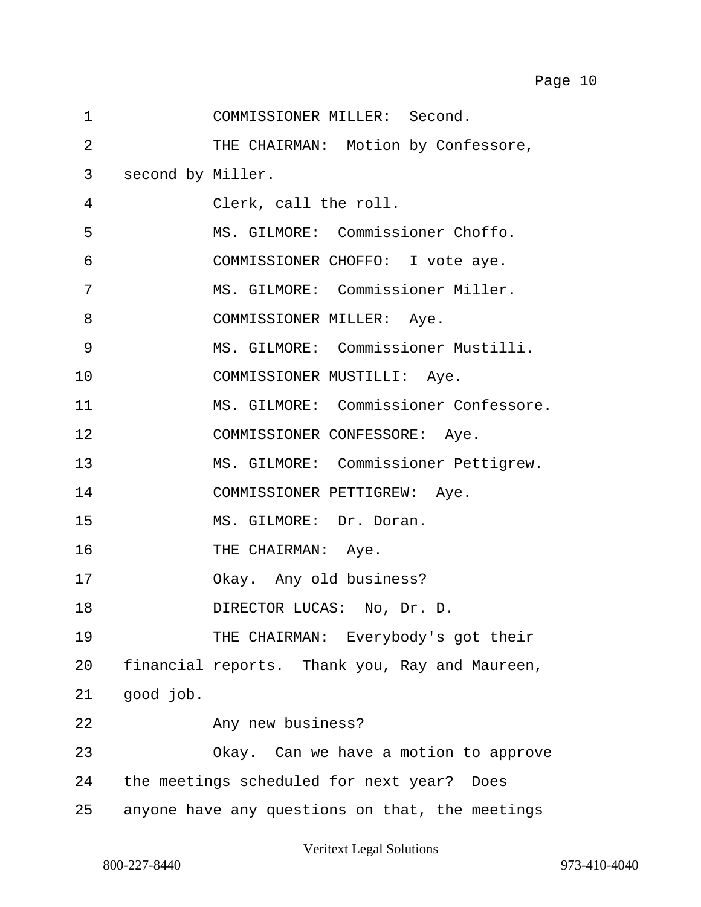<span id="page-9-0"></span>1 COMMISSIONER MILLER: Second. 2 THE CHAIRMAN: Motion by Confessore, 3 second by Miller. 4 Clerk, call the roll. 5 MS. GILMORE: Commissioner Choffo. 6 COMMISSIONER CHOFFO: I vote aye. 7 MS. GILMORE: Commissioner Miller. 8 | COMMISSIONER MILLER: Aye. 9 MS. GILMORE: Commissioner Mustilli. 10 COMMISSIONER MUSTILLI: Aye. 11 MS. GILMORE: Commissioner Confessore. 12 COMMISSIONER CONFESSORE: Aye. 13 | MS. GILMORE: Commissioner Pettigrew. 14 COMMISSIONER PETTIGREW: Aye. 15 MS. GILMORE: Dr. Doran. 16 THE CHAIRMAN: Aye. 17 Okay. Any old business? 18 DIRECTOR LUCAS: No, Dr. D. 19 THE CHAIRMAN: Everybody's got their 20 financial reports. Thank you, Ray and Maureen,  $21$  good job. 22 Any new business? 23 | Chay. Can we have a motion to approve 24 the meetings scheduled for next year? Does 25 anyone have any questions on that, the meetings Page 10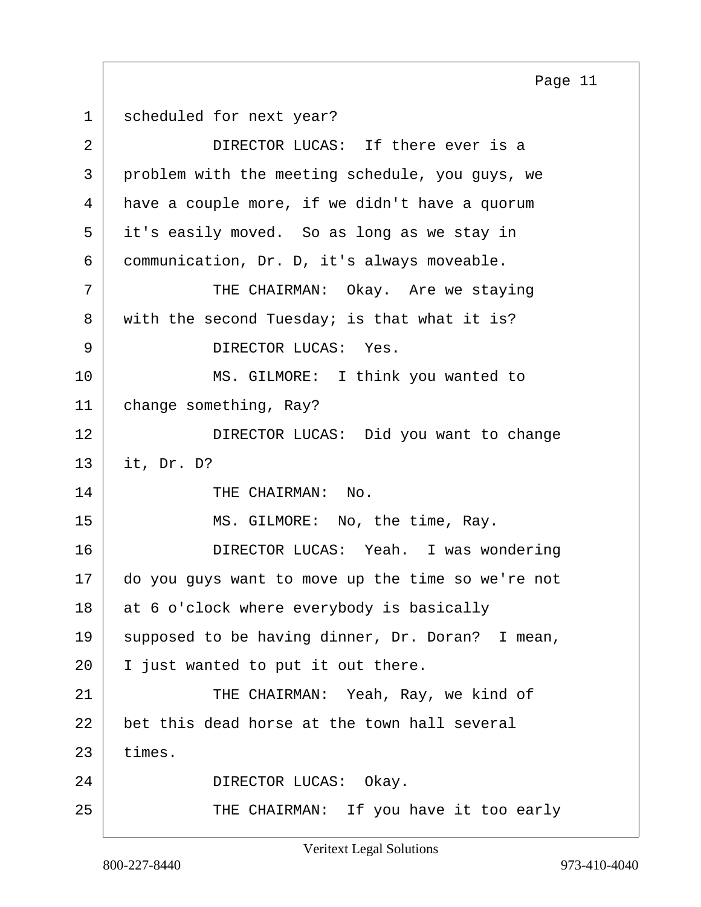<span id="page-10-0"></span>1 scheduled for next year?

| 2  | DIRECTOR LUCAS: If there ever is a                |  |  |
|----|---------------------------------------------------|--|--|
| 3  | problem with the meeting schedule, you guys, we   |  |  |
| 4  | have a couple more, if we didn't have a quorum    |  |  |
| 5  | it's easily moved. So as long as we stay in       |  |  |
| 6  | communication, Dr. D, it's always moveable.       |  |  |
| 7  | THE CHAIRMAN: Okay. Are we staying                |  |  |
| 8  | with the second Tuesday; is that what it is?      |  |  |
| 9  | DIRECTOR LUCAS: Yes.                              |  |  |
| 10 | MS. GILMORE: I think you wanted to                |  |  |
| 11 | change something, Ray?                            |  |  |
| 12 | DIRECTOR LUCAS: Did you want to change            |  |  |
| 13 | it, Dr. D?                                        |  |  |
| 14 | THE CHAIRMAN: No.                                 |  |  |
| 15 | MS. GILMORE: No, the time, Ray.                   |  |  |
| 16 | DIRECTOR LUCAS: Yeah. I was wondering             |  |  |
| 17 | do you guys want to move up the time so we're not |  |  |
| 18 | at 6 o'clock where everybody is basically         |  |  |
| 19 | supposed to be having dinner, Dr. Doran? I mean,  |  |  |
| 20 | I just wanted to put it out there.                |  |  |
| 21 | THE CHAIRMAN: Yeah, Ray, we kind of               |  |  |
| 22 | bet this dead horse at the town hall several      |  |  |
| 23 | times.                                            |  |  |
| 24 | DIRECTOR LUCAS: Okay.                             |  |  |
| 25 | THE CHAIRMAN: If you have it too early            |  |  |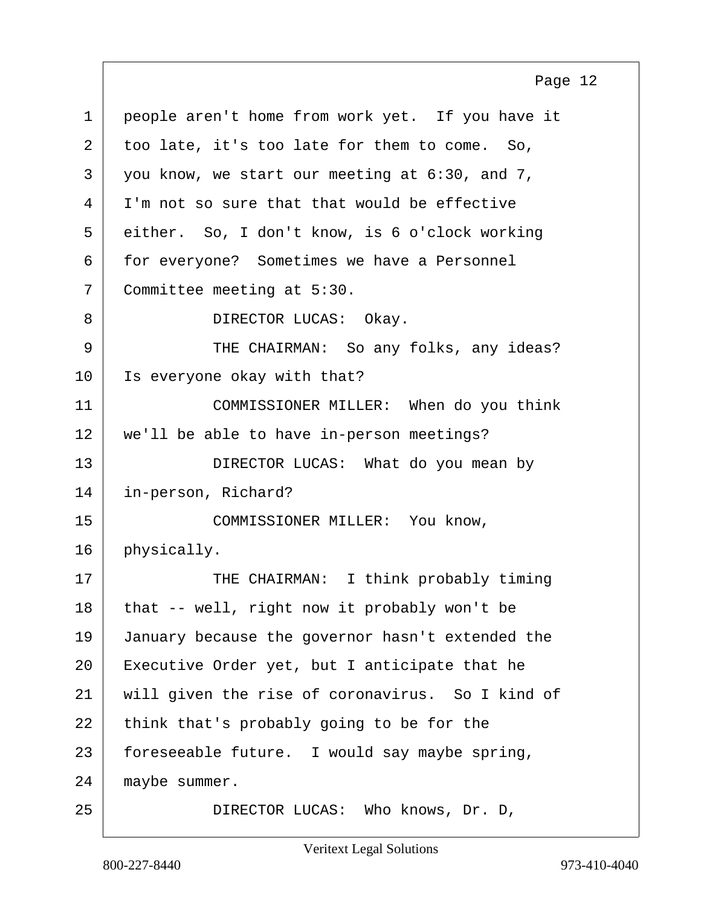<span id="page-11-0"></span>1 people aren't home from work yet. If you have it 2 too late, it's too late for them to come. So,  $3$  | you know, we start our meeting at  $6:30$ , and  $7$ ,  $4$  I'm not so sure that that would be effective 5 either. So, I don't know, is 6 o'clock working 6 for everyone? Sometimes we have a Personnel 7 Committee meeting at 5:30. 8 DIRECTOR LUCAS: Okay. 9 THE CHAIRMAN: So any folks, any ideas? 10 | Is everyone okay with that? 11 COMMISSIONER MILLER: When do you think 12 we'll be able to have in-person meetings? 13 DIRECTOR LUCAS: What do you mean by 14 in-person, Richard? 15 COMMISSIONER MILLER: You know,  $16$  physically. 17 | THE CHAIRMAN: I think probably timing  $18$  that -- well, right now it probably won't be 19 January because the governor hasn't extended the 20 Executive Order yet, but I anticipate that he 21 will given the rise of coronavirus. So I kind of 22 think that's probably going to be for the 23 | foreseeable future. I would say maybe spring, 24 maybe summer. 25 DIRECTOR LUCAS: Who knows, Dr. D, Page 12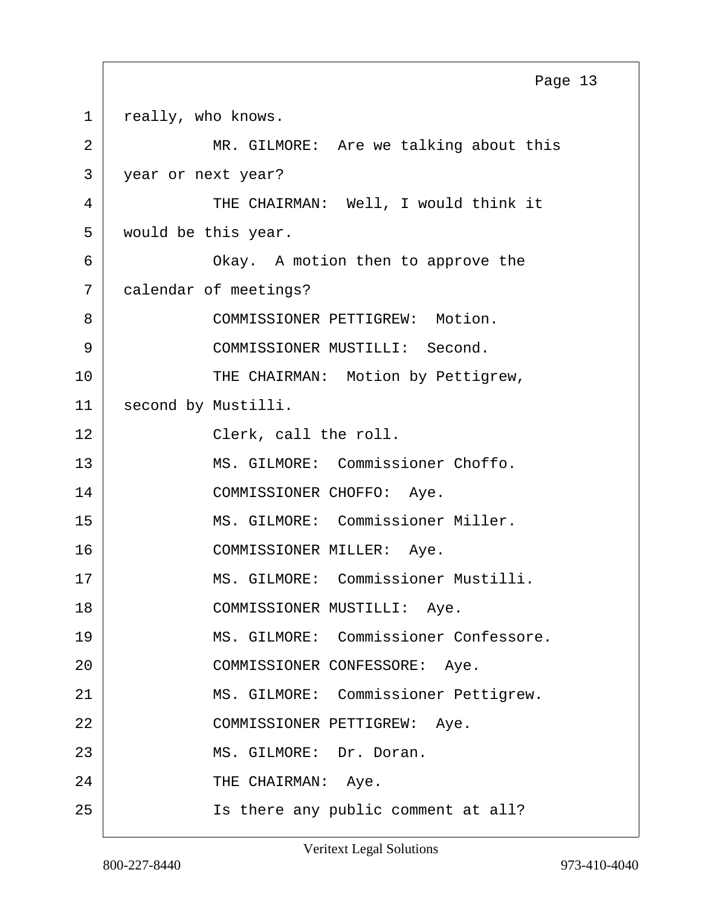<span id="page-12-0"></span>1 really, who knows. 2 MR. GILMORE: Are we talking about this 3 year or next year? 4 THE CHAIRMAN: Well, I would think it 5 would be this year. 6 Okay. A motion then to approve the 7 calendar of meetings? 8 COMMISSIONER PETTIGREW: Motion. 9 COMMISSIONER MUSTILLI: Second. 10 THE CHAIRMAN: Motion by Pettigrew, 11 | second by Mustilli. 12 Clerk, call the roll. 13 MS. GILMORE: Commissioner Choffo. 14 COMMISSIONER CHOFFO: Aye. 15 MS. GILMORE: Commissioner Miller. 16 COMMISSIONER MILLER: Aye. 17 | MS. GILMORE: Commissioner Mustilli. 18 COMMISSIONER MUSTILLI: Aye. 19 MS. GILMORE: Commissioner Confessore. 20 | COMMISSIONER CONFESSORE: Aye. 21 | MS. GILMORE: Commissioner Pettigrew. 22 COMMISSIONER PETTIGREW: Aye. 23 MS. GILMORE: Dr. Doran. 24 THE CHAIRMAN: Aye. 25 Is there any public comment at all? Page 13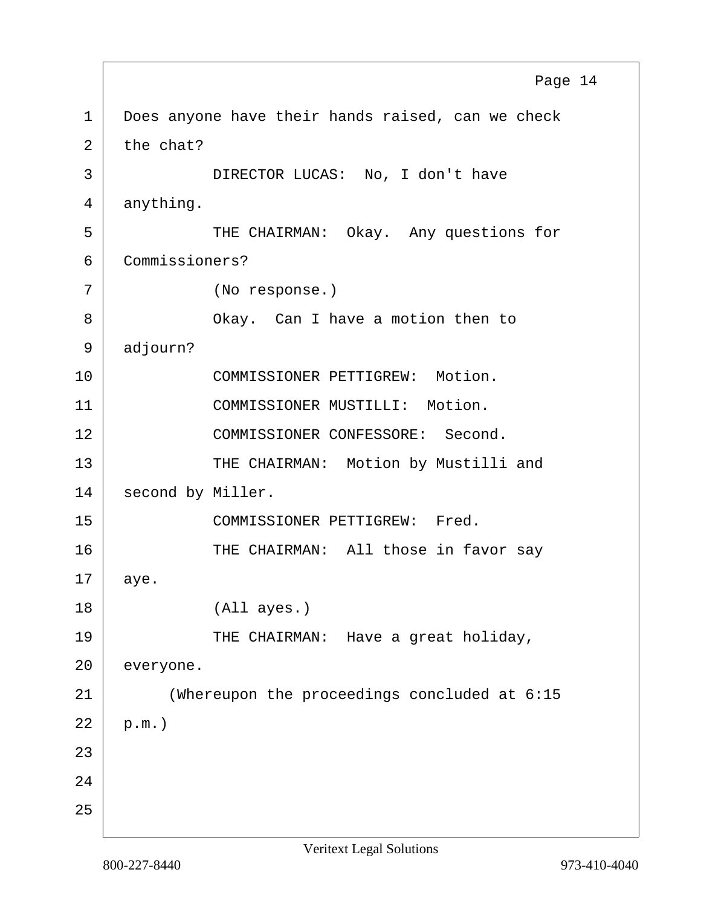<span id="page-13-0"></span>1 Does anyone have their hands raised, can we check  $2$  the chat? 3 DIRECTOR LUCAS: No, I don't have 4 anything. 5 THE CHAIRMAN: Okay. Any questions for 6 Commissioners? 7 (No response.) 8 Okay. Can I have a motion then to 9 adjourn? 10 COMMISSIONER PETTIGREW: Motion. 11 COMMISSIONER MUSTILLI: Motion. 12 COMMISSIONER CONFESSORE: Second. 13 THE CHAIRMAN: Motion by Mustilli and 14 second by Miller. 15 COMMISSIONER PETTIGREW: Fred. 16 THE CHAIRMAN: All those in favor say 17 aye. 18 (All ayes.) 19 THE CHAIRMAN: Have a great holiday, 20 everyone. 21 (Whereupon the proceedings concluded at 6:15  $22$  p.m.) 23 24 25 Page 14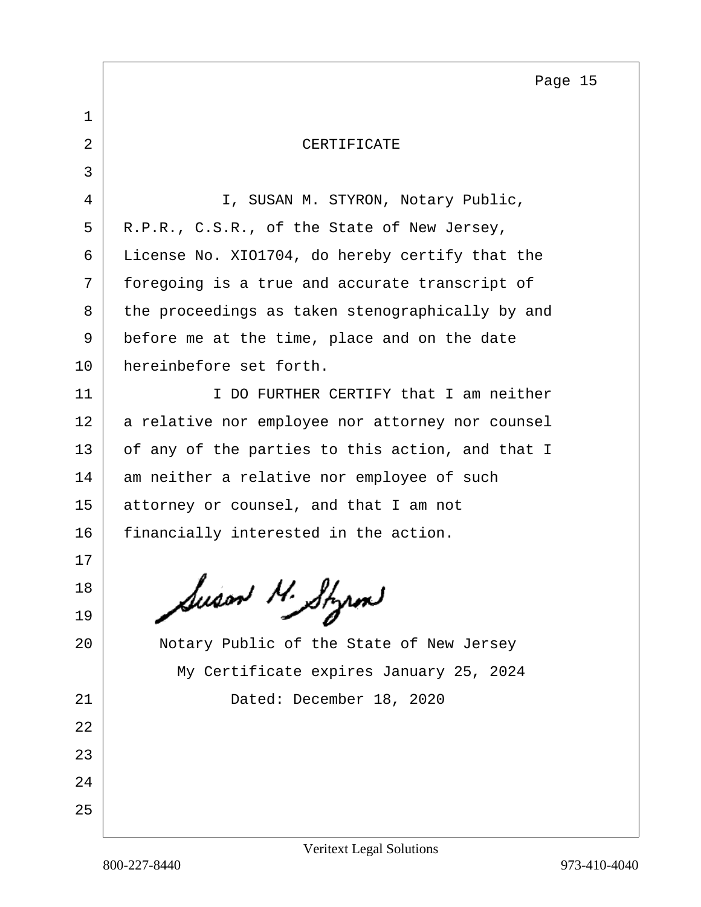Page 15

<span id="page-14-0"></span>

| $\mathbf 1$ |                                                  |
|-------------|--------------------------------------------------|
| 2           | CERTIFICATE                                      |
| 3           |                                                  |
| 4           | I, SUSAN M. STYRON, Notary Public,               |
| 5           | R.P.R., C.S.R., of the State of New Jersey,      |
| 6           | License No. XIO1704, do hereby certify that the  |
| 7           | foregoing is a true and accurate transcript of   |
| 8           | the proceedings as taken stenographically by and |
| 9           | before me at the time, place and on the date     |
| 10          | hereinbefore set forth.                          |
| 11          | I DO FURTHER CERTIFY that I am neither           |
| 12          | a relative nor employee nor attorney nor counsel |
| 13          | of any of the parties to this action, and that I |
| 14          | am neither a relative nor employee of such       |
| 15          | attorney or counsel, and that I am not           |
| 16          | financially interested in the action.            |
| 17          |                                                  |
| 18          | luson N. Styrn                                   |
| 19          |                                                  |
| 20          | Notary Public of the State of New Jersey         |
|             | My Certificate expires January 25, 2024          |
| 21          | Dated: December 18, 2020                         |
| 22          |                                                  |
| 23          |                                                  |
| 24          |                                                  |
| 25          |                                                  |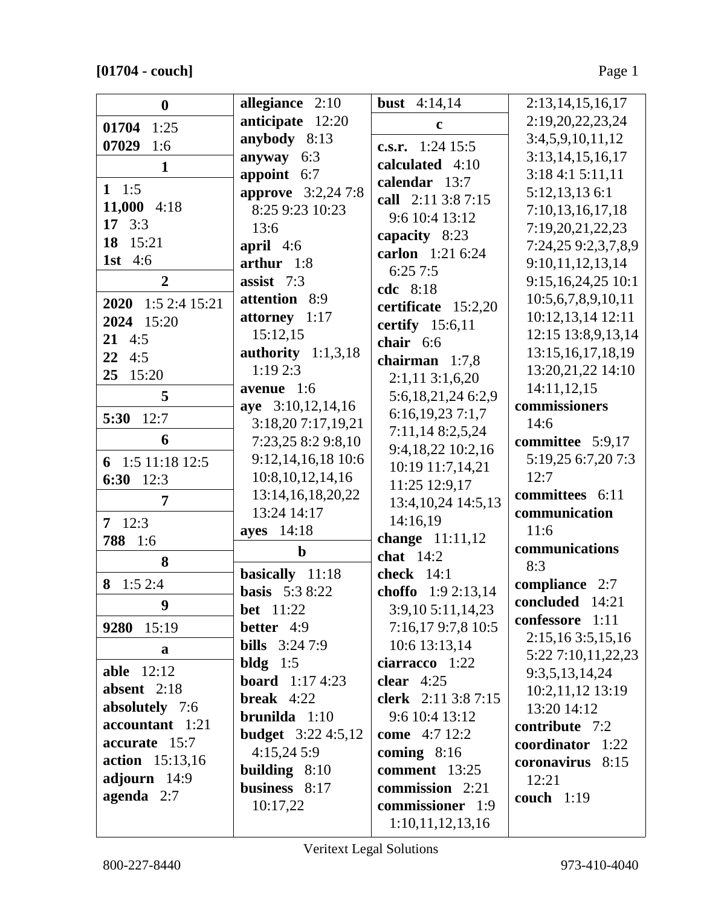|                    |                           |                       | 2:13,14,15,16,17      |
|--------------------|---------------------------|-----------------------|-----------------------|
| $\bf{0}$           | allegiance 2:10           | <b>bust</b> $4:14,14$ |                       |
| 01704 1:25         | anticipate 12:20          | c                     | 2:19,20,22,23,24      |
| 07029<br>1:6       | anybody 8:13              | c.s.r. $1:24$ 15:5    | 3:4,5,9,10,11,12      |
| $\mathbf{1}$       | anyway<br>6:3             | calculated 4:10       | 3:13,14,15,16,17      |
|                    | appoint 6:7               | calendar 13:7         | 3:184:15:11,11        |
| 1 1:5              | <b>approve</b> 3:2,24 7:8 | call 2:11 3:8 7:15    | 5:12,13,136:1         |
| 11,000 $4:18$      | 8:25 9:23 10:23           | 9:6 10:4 13:12        | 7:10,13,16,17,18      |
| 17 $3:3$           | 13:6                      | capacity 8:23         | 7:19,20,21,22,23      |
| 18 15:21           | april $4:6$               | carlon 1:21 6:24      | 7:24,25 9:2,3,7,8,9   |
| <b>1st</b> 4:6     | arthur 1:8                | 6:257:5               | 9:10,11,12,13,14      |
| $\boldsymbol{2}$   | assist 7:3                | cdc 8:18              | 9:15,16,24,25 10:1    |
| 2020 1:5 2:4 15:21 | attention 8:9             |                       | 10:5,6,7,8,9,10,11    |
| 2024 15:20         | attorney 1:17             | certificate 15:2,20   | 10:12,13,14 12:11     |
| $21 \t 4:5$        | 15:12,15                  | certify $15:6,11$     | 12:15 13:8,9,13,14    |
| $22 \t 4:5$        | authority $1:1,3,18$      | chair 6:6             | 13:15, 16, 17, 18, 19 |
| 25<br>15:20        | 1:192:3                   | chairman $1:7,8$      | 13:20,21,22 14:10     |
|                    | avenue 1:6                | $2:1,11$ 3:1,6,20     | 14:11,12,15           |
| 5                  | aye 3:10,12,14,16         | 5:6,18,21,24 6:2,9    | commissioners         |
| 5:30<br>12:7       | 3:18,20 7:17,19,21        | 6:16,19,237:1,7       | 14:6                  |
| 6                  | 7:23,25 8:2 9:8,10        | 7:11,148:2,5,24       | committee 5:9,17      |
| 6 1:5 11:18 12:5   | 9:12,14,16,18 10:6        | 9:4,18,22 10:2,16     | 5:19,25 6:7,20 7:3    |
| 6:30 $12:3$        | 10:8, 10, 12, 14, 16      | 10:19 11:7,14,21      | 12:7                  |
| 7                  | 13:14,16,18,20,22         | 11:25 12:9,17         | committees 6:11       |
|                    | 13:24 14:17               | 13:4, 10, 24 14:5, 13 | communication         |
| $7 \quad 12:3$     | ayes 14:18                | 14:16,19              | 11:6                  |
| 788 1:6            | $\mathbf b$               | change 11:11,12       | communications        |
| 8                  |                           | chat $14:2$           | 8:3                   |
| 1:52:4<br>8        | basically 11:18           | check $14:1$          | compliance 2:7        |
| 9                  | <b>basis</b> 5:3 8:22     | choffo 1:9 2:13,14    | concluded 14:21       |
|                    | <b>bet</b> 11:22          | 3:9,10 5:11,14,23     | confessore 1:11       |
| 9280 15:19         | better 4:9                | 7:16,179:7,8 10:5     | 2:15,163:5,15,16      |
| a                  | <b>bills</b> $3:247:9$    | 10:6 13:13,14         | 5:22 7:10,11,22,23    |
| <b>able</b> 12:12  | bldg $1:5$                | ciarracco 1:22        | 9:3,5,13,14,24        |
| absent $2:18$      | <b>board</b> $1:174:23$   | clear $4:25$          | 10:2,11,12 13:19      |
| absolutely 7:6     | <b>break</b> $4:22$       | clerk 2:11 3:8 7:15   | 13:20 14:12           |
| accountant 1:21    | brunilda 1:10             | 9:6 10:4 13:12        | contribute 7:2        |
| accurate 15:7      | <b>budget</b> 3:22 4:5,12 | come 4:7 12:2         | coordinator 1:22      |
| action 15:13,16    | 4:15,245:9                | coming $8:16$         | coronavirus 8:15      |
| adjourn 14:9       | building $8:10$           | comment 13:25         | 12:21                 |
| agenda $2:7$       | business 8:17             | commission 2:21       | couch 1:19            |
|                    | 10:17,22                  | commissioner 1:9      |                       |
|                    |                           | 1:10,11,12,13,16      |                       |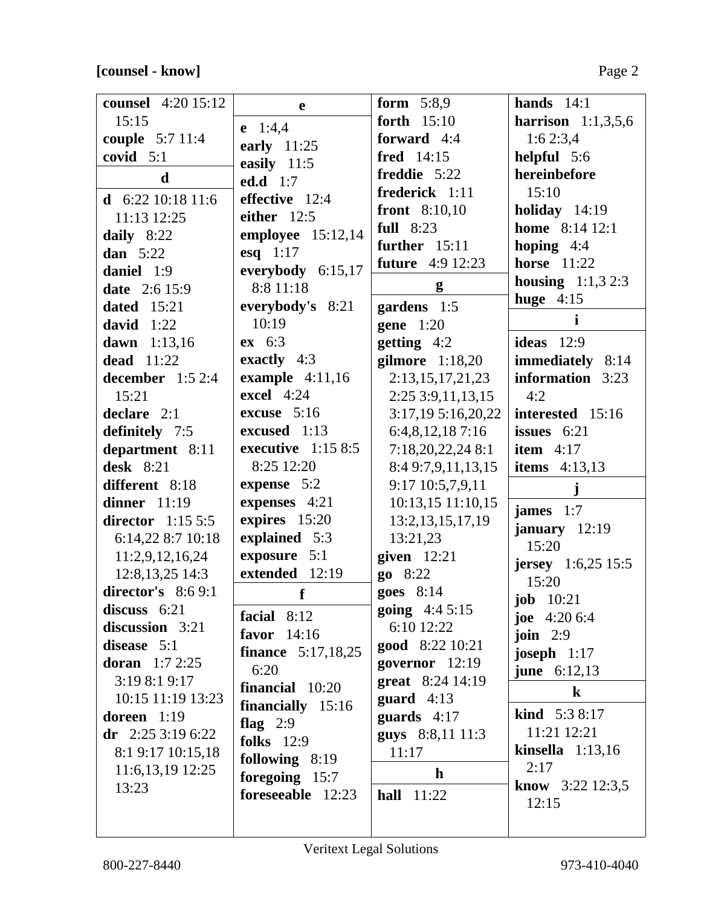## **[counsel - know]** Page 2

| <b>counsel</b> 4:20 15:12  | e                                 | form $5:8,9$                       | hands $14:1$                         |
|----------------------------|-----------------------------------|------------------------------------|--------------------------------------|
| 15:15                      |                                   | forth 15:10                        | <b>harrison</b> $1:1,3,5,6$          |
| couple 5:7 11:4            | $e$ 1:4,4                         | forward 4:4                        | 1:62:3,4                             |
| covid $5:1$                | early $11:25$                     | fred 14:15                         | helpful 5:6                          |
| d                          | easily 11:5<br><b>ed.d</b> 1:7    | freddie 5:22                       | hereinbefore                         |
|                            | effective 12:4                    | frederick 1:11                     | 15:10                                |
| d 6:22 10:18 11:6          | either $12:5$                     | front $8:10,10$                    | holiday $14:19$                      |
| 11:13 12:25                | employee $15:12,14$               | full $8:23$                        | <b>home</b> 8:14 12:1                |
| daily 8:22                 |                                   | further 15:11                      | hoping $4:4$                         |
| dan $5:22$<br>daniel 1:9   | esq $1:17$<br>everybody 6:15,17   | <b>future</b> 4:9 12:23            | <b>horse</b> 11:22                   |
| <b>date</b> 2:6 15:9       | 8:8 11:18                         | g                                  | <b>housing</b> $1:1,3,2:3$           |
| <b>dated</b> 15:21         | everybody's 8:21                  |                                    | huge $4:15$                          |
| david $1:22$               | 10:19                             | gardens 1:5<br>gene $1:20$         | $\mathbf i$                          |
| dawn 1:13,16               | ex 6:3                            |                                    | ideas $12:9$                         |
| <b>dead</b> 11:22          | exactly $4:3$                     | getting $4:2$<br>gilmore $1:18,20$ |                                      |
|                            | example $4:11,16$                 | 2:13,15,17,21,23                   | immediately 8:14<br>information 3:23 |
| december $1:52:4$<br>15:21 | <b>excel</b> 4:24                 |                                    | 4:2                                  |
|                            | excuse 5:16                       | 2:25 3:9, 11, 13, 15               |                                      |
| declare $2:1$              | excused 1:13                      | 3:17,195:16,20,22                  | interested 15:16                     |
| definitely 7:5             |                                   | 6:4,8,12,187:16                    | issues $6:21$                        |
| department 8:11            | executive $1:158:5$<br>8:25 12:20 | 7:18,20,22,24 8:1                  | item $4:17$                          |
| desk $8:21$                |                                   | 8:4 9:7,9,11,13,15                 | <b>items</b> $4:13,13$               |
| different 8:18             | expense 5:2                       | 9:17 10:5,7,9,11                   | j                                    |
| dinner $11:19$             | expenses 4:21                     | 10:13,15 11:10,15                  | james $1:7$                          |
| director $1:155:5$         | expires 15:20                     | 13:2, 13, 15, 17, 19               | january $12:19$                      |
| 6:14,22 8:7 10:18          | explained 5:3                     | 13:21,23                           | 15:20                                |
| 11:2,9,12,16,24            | exposure 5:1                      | given $12:21$                      | <b>jersey</b> $1:6,25$ 15:5          |
| 12:8, 13, 25 14:3          | extended 12:19                    | $g_0$ 8:22                         | 15:20                                |
| director's $8:69:1$        | $\mathbf f$                       | goes $8:14$                        | <b>job</b> 10:21                     |
| discuss $6:21$             | facial $8:12$                     | going 4:4 5:15                     | joe $4:206:4$                        |
| discussion 3:21            | favor $14:16$                     | 6:10 12:22                         | join $2:9$                           |
| disease 5:1                | <b>finance</b> 5:17,18,25         | good 8:22 10:21                    | joseph $1:17$                        |
| <b>doran</b> $1:72:25$     | 6:20                              | governor $12:19$                   | <b>june</b> $6:12,13$                |
| 3:19 8:1 9:17              | financial 10:20                   | great 8:24 14:19                   | $\bf k$                              |
| 10:15 11:19 13:23          | financially 15:16                 | guard $4:13$                       |                                      |
| doreen $1:19$              | flag $2:9$                        | guards $4:17$                      | <b>kind</b> $5:38:17$<br>11:21 12:21 |
| dr $2:253:196:22$          | <b>folks</b> 12:9                 | guys 8:8,11 11:3                   |                                      |
| 8:1 9:17 10:15,18          | following 8:19                    | 11:17                              | kinsella $1:13,16$                   |
| 11:6, 13, 19 12:25         | foregoing 15:7                    | $\mathbf{h}$                       | 2:17                                 |
| 13:23                      | foreseeable 12:23                 | <b>hall</b> 11:22                  | <b>know</b> $3:22$ 12:3,5            |
|                            |                                   |                                    | 12:15                                |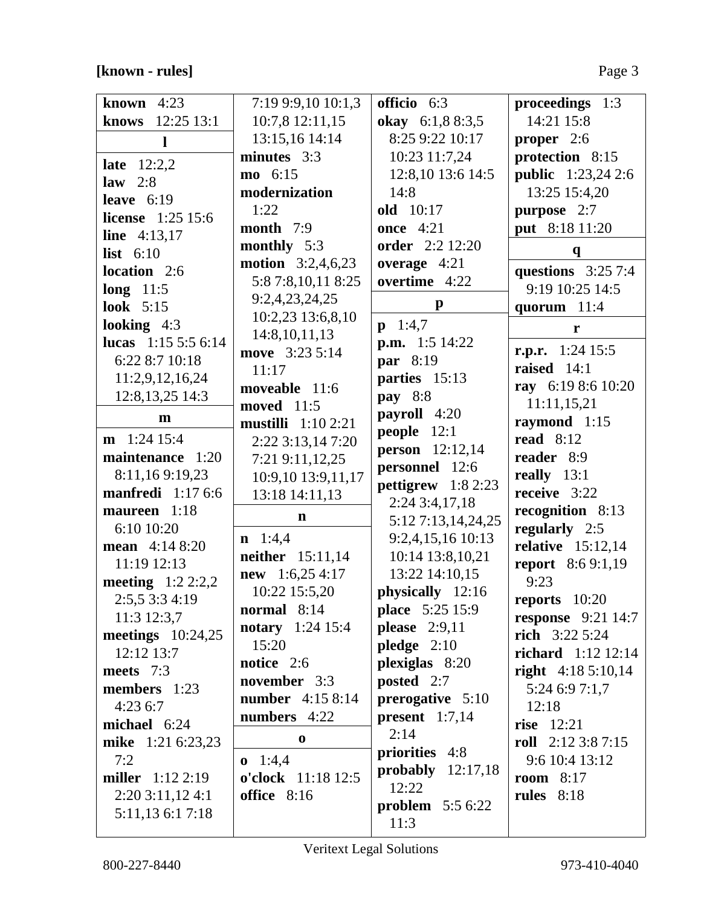**[known - rules]** Page 3

| known $4:23$               | 7:19 9:9,10 10:1,3         | officio 6:3             | proceedings 1:3              |
|----------------------------|----------------------------|-------------------------|------------------------------|
| 12:25 13:1<br>knows        | 10:7,8 12:11,15            | okay 6:1,8 8:3,5        | 14:21 15:8                   |
|                            |                            |                         |                              |
| $\mathbf{l}$               | 13:15,16 14:14             | 8:25 9:22 10:17         | proper $2:6$                 |
| <b>late</b> $12:2,2$       | minutes 3:3                | 10:23 11:7,24           | protection 8:15              |
| law $2:8$                  | mo 6:15                    | 12:8,10 13:6 14:5       | <b>public</b> 1:23,24 2:6    |
| leave $6:19$               | modernization              | 14:8                    | 13:25 15:4,20                |
| <b>license</b> 1:25 15:6   | 1:22                       | <b>old</b> 10:17        | purpose 2:7                  |
| <b>line</b> $4:13,17$      | month $7:9$                | <b>once</b> 4:21        | put 8:18 11:20               |
| list $6:10$                | monthly 5:3                | <b>order</b> 2:2 12:20  | $\mathbf q$                  |
| location 2:6               | <b>motion</b> $3:2,4,6,23$ | overage $4:21$          | questions $3:257:4$          |
|                            | 5:8 7:8, 10, 11 8:25       | overtime 4:22           | 9:19 10:25 14:5              |
| long $11:5$<br>look $5:15$ | 9:2,4,23,24,25             | $\mathbf{p}$            |                              |
|                            | 10:2,23 13:6,8,10          |                         | quorum 11:4                  |
| looking $4:3$              | 14:8,10,11,13              | $p \quad 1:4,7$         | r                            |
| lucas $1:155:56:14$        | move 3:23 5:14             | <b>p.m.</b> 1:5 14:22   | r.p.r. $1:24$ 15:5           |
| 6:22 8:7 10:18             | 11:17                      | par 8:19                | raised $14:1$                |
| 11:2,9,12,16,24            | moveable 11:6              | parties 15:13           | ray 6:19 8:6 10:20           |
| 12:8, 13, 25 14:3          | moved 11:5                 | pay 8:8                 | 11:11,15,21                  |
| m                          | <b>mustilli</b> $1:102:21$ | payroll 4:20            | raymond 1:15                 |
| $m$ 1:24 15:4              | 2:22 3:13,14 7:20          | people 12:1             | read $8:12$                  |
| maintenance 1:20           | 7:21 9:11,12,25            | <b>person</b> 12:12,14  | reader 8:9                   |
| 8:11,169:19,23             |                            | personnel 12:6          | really $13:1$                |
| <b>manfredi</b> 1:17 6:6   | 10:9,10 13:9,11,17         | pettigrew $1:82:23$     | receive 3:22                 |
| maureen 1:18               | 13:18 14:11,13             | $2:24$ 3:4,17,18        |                              |
|                            | $\mathbf n$                | 5:12 7:13,14,24,25      | recognition 8:13             |
| 6:10 10:20                 | $n \quad 1:4,4$            | 9:2,4,15,16 10:13       | regularly 2:5                |
| mean 4:14 8:20             | neither 15:11,14           | 10:14 13:8,10,21        | relative $15:12,14$          |
| 11:19 12:13                | <b>new</b> 1:6,25 4:17     | 13:22 14:10,15          | <b>report</b> 8:6 9:1,19     |
| meeting $1:22:2,2$         | 10:22 15:5,20              | physically 12:16        | 9:23                         |
| 2:5,5 3:3 4:19             | normal $8:14$              | <b>place</b> 5:25 15:9  | reports $10:20$              |
| 11:3 12:3,7                | <b>notary</b> 1:24 15:4    | please $2:9,11$         | <b>response</b> $9:21\,14:7$ |
| meetings $10:24,25$        | 15:20                      | pledge $2:10$           | rich 3:22 5:24               |
| 12:12 13:7                 | notice 2:6                 | plexiglas 8:20          | <b>richard</b> 1:12 12:14    |
| meets 7:3                  |                            |                         | right $4:185:10,14$          |
| members $1:23$             | november 3:3               | posted 2:7              | 5:24 6:9 7:1,7               |
| 4:236:7                    | <b>number</b> 4:15 8:14    | prerogative 5:10        | 12:18                        |
| michael 6:24               | numbers 4:22               | <b>present</b> $1:7,14$ | rise $12:21$                 |
| mike 1:21 6:23,23          | $\bf{0}$                   | 2:14                    | roll $2:123:87:15$           |
| 7:2                        | $0 \quad 1:4,4$            | priorities 4:8          | 9:6 10:4 13:12               |
| <b>miller</b> $1:12\,2:19$ | o'clock 11:18 12:5         | probably $12:17,18$     | room $8:17$                  |
| $2:20$ 3:11,12 4:1         | office 8:16                | 12:22                   | rules $8:18$                 |
| 5:11,13 6:1 7:18           |                            | problem $5:56:22$       |                              |
|                            |                            | 11:3                    |                              |